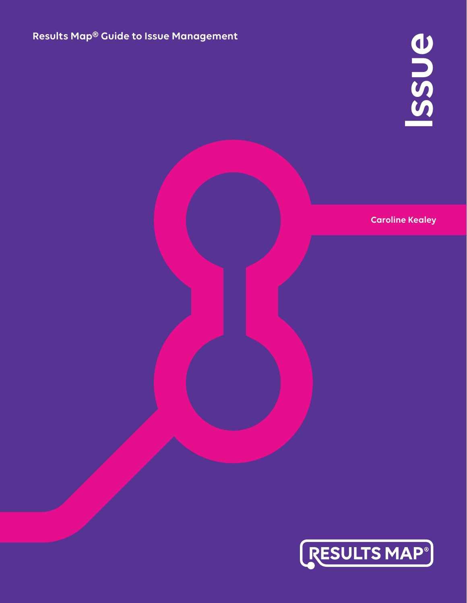## **Results Map® Guide to Issue Management**

**Caroline Kealey** 

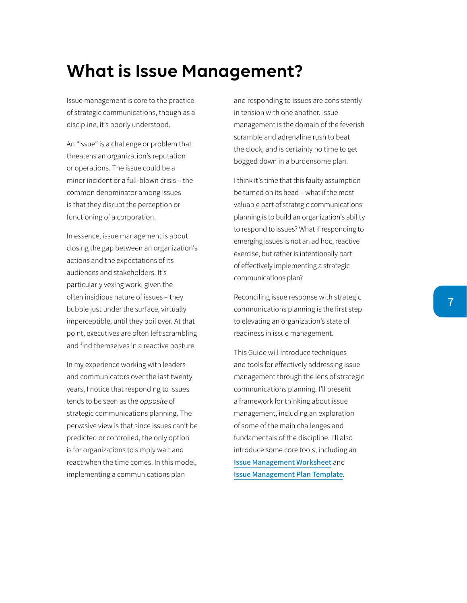## **What is Issue Management?**

Issue management is core to the practice of strategic communications, though as a discipline, it's poorly understood.

An "issue" is a challenge or problem that threatens an organization's reputation or operations. The issue could be a minor incident or a full-blown crisis – the common denominator among issues is that they disrupt the perception or functioning of a corporation.

In essence, issue management is about closing the gap between an organization's actions and the expectations of its audiences and stakeholders. It's particularly vexing work, given the often insidious nature of issues – they bubble just under the surface, virtually imperceptible, until they boil over. At that point, executives are often left scrambling and find themselves in a reactive posture.

In my experience working with leaders and communicators over the last twenty years, I notice that responding to issues tends to be seen as the opposite of strategic communications planning. The pervasive view is that since issues can't be predicted or controlled, the only option is for organizations to simply wait and react when the time comes. In this model, implementing a communications plan

and responding to issues are consistently in tension with one another. Issue management is the domain of the feverish scramble and adrenaline rush to beat the clock, and is certainly no time to get bogged down in a burdensome plan.

I think it's time that this faulty assumption be turned on its head – what if the most valuable part of strategic communications planning is to build an organization's ability to respond to issues? What if responding to emerging issues is not an ad hoc, reactive exercise, but rather is intentionally part of effectively implementing a strategic communications plan?

Reconciling issue response with strategic communications planning is the first step to elevating an organization's state of readiness in issue management.

This Guide will introduce techniques and tools for effectively addressing issue management through the lens of strategic communications planning. I'll present a framework for thinking about issue management, including an exploration of some of the main challenges and fundamentals of the discipline. I'll also introduce some core tools, including an **[Issue Management Worksheet](https://www.resultsmap.com/hub/products/issue/)** and **[Issue Management Plan Template](https://www.resultsmap.com/hub/products/issue/)**.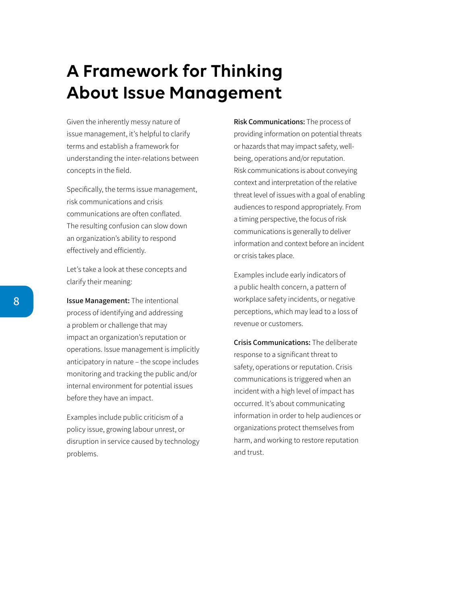## **A Framework for Thinking About Issue Management**

Given the inherently messy nature of issue management, it's helpful to clarify terms and establish a framework for understanding the inter-relations between concepts in the field.

Specifically, the terms issue management, risk communications and crisis communications are often conflated. The resulting confusion can slow down an organization's ability to respond effectively and efficiently.

Let's take a look at these concepts and clarify their meaning:

**Issue Management:** The intentional process of identifying and addressing a problem or challenge that may impact an organization's reputation or operations. Issue management is implicitly anticipatory in nature – the scope includes monitoring and tracking the public and/or internal environment for potential issues before they have an impact.

Examples include public criticism of a policy issue, growing labour unrest, or disruption in service caused by technology problems.

**Risk Communications:** The process of providing information on potential threats or hazards that may impact safety, wellbeing, operations and/or reputation. Risk communications is about conveying context and interpretation of the relative threat level of issues with a goal of enabling audiences to respond appropriately. From a timing perspective, the focus of risk communications is generally to deliver information and context before an incident or crisis takes place.

Examples include early indicators of a public health concern, a pattern of workplace safety incidents, or negative perceptions, which may lead to a loss of revenue or customers.

**Crisis Communications:** The deliberate response to a significant threat to safety, operations or reputation. Crisis communications is triggered when an incident with a high level of impact has occurred. It's about communicating information in order to help audiences or organizations protect themselves from harm, and working to restore reputation and trust.